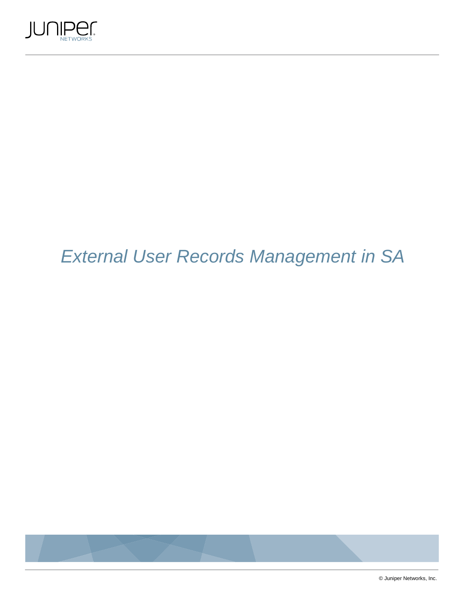

# External User Records Management in SA



© Juniper Networks, Inc.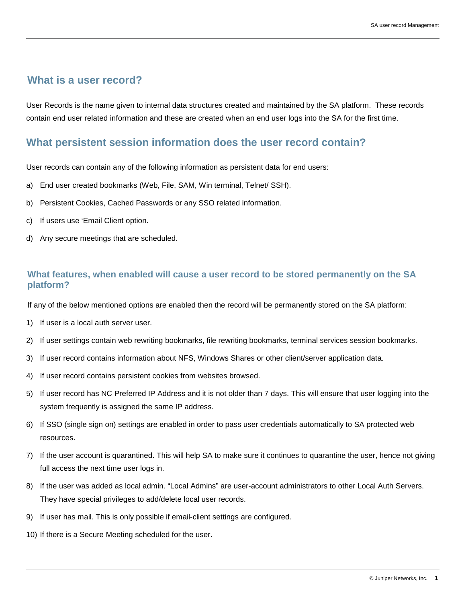## **What is a user record?**

User Records is the name given to internal data structures created and maintained by the SA platform. These records contain end user related information and these are created when an end user logs into the SA for the first time.

# **What persistent session information does the user record contain?**

User records can contain any of the following information as persistent data for end users:

- a) End user created bookmarks (Web, File, SAM, Win terminal, Telnet/ SSH).
- b) Persistent Cookies, Cached Passwords or any SSO related information.
- c) If users use 'Email Client option.
- d) Any secure meetings that are scheduled.

#### **What features, when enabled will cause a user record to be stored permanently on the SA platform?**

If any of the below mentioned options are enabled then the record will be permanently stored on the SA platform:

- 1) If user is a local auth server user.
- 2) If user settings contain web rewriting bookmarks, file rewriting bookmarks, terminal services session bookmarks.
- 3) If user record contains information about NFS, Windows Shares or other client/server application data.
- 4) If user record contains persistent cookies from websites browsed.
- 5) If user record has NC Preferred IP Address and it is not older than 7 days. This will ensure that user logging into the system frequently is assigned the same IP address.
- 6) If SSO (single sign on) settings are enabled in order to pass user credentials automatically to SA protected web resources.
- 7) If the user account is quarantined. This will help SA to make sure it continues to quarantine the user, hence not giving full access the next time user logs in.
- 8) If the user was added as local admin. "Local Admins" are user-account administrators to other Local Auth Servers. They have special privileges to add/delete local user records.
- 9) If user has mail. This is only possible if email-client settings are configured.
- 10) If there is a Secure Meeting scheduled for the user.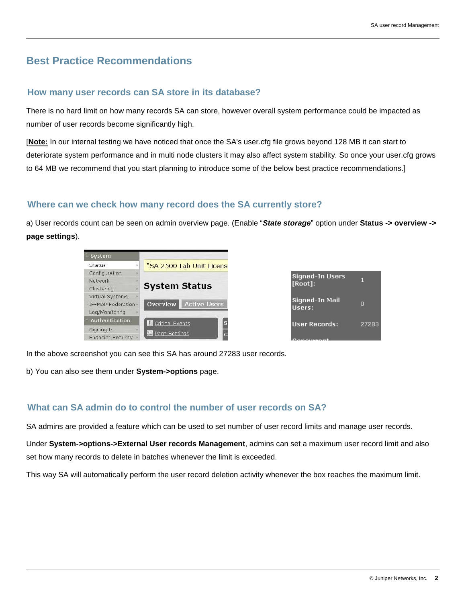# **Best Practice Recommendations**

#### **How many user records can SA store in its database?**

There is no hard limit on how many records SA can store, however overall system performance could be impacted as number of user records become significantly high.

[**Note:** In our internal testing we have noticed that once the SA's user.cfg file grows beyond 128 MB it can start to deteriorate system performance and in multi node clusters it may also affect system stability. So once your user.cfg grows to 64 MB we recommend that you start planning to introduce some of the below best practice recommendations.]

#### **Where can we check how many record does the SA currently store?**

a) User records count can be seen on admin overview page. (Enable "**State storage**" option under **Status -> overview -> page settings**).

| System              |                                        |                                   |       |
|---------------------|----------------------------------------|-----------------------------------|-------|
| Status              | "SA 2500 Lab Unit Licens               |                                   |       |
| Configuration       |                                        |                                   |       |
| Network             |                                        | <b>Signed-In Users</b><br>[Root]: |       |
| Clustering          | <b>System Status</b>                   |                                   |       |
| Virtual Systems     |                                        |                                   |       |
| IF-MAP Federation · | Active Users<br>Overview               | Signed-In Mail<br>Users:          | о     |
| Log/Monitoring      |                                        |                                   |       |
| - Authentication    | <sup>S</sup><br><b>Critical Events</b> | User Records:                     | 27283 |
| Signing In          |                                        |                                   |       |
| Endpoint Security   | Page Settings<br>$\overline{c}$        | $P$ anauwani                      |       |

In the above screenshot you can see this SA has around 27283 user records.

b) You can also see them under **System->options** page.

### **What can SA admin do to control the number of user records on SA?**

SA admins are provided a feature which can be used to set number of user record limits and manage user records.

Under **System->options->External User records Management**, admins can set a maximum user record limit and also set how many records to delete in batches whenever the limit is exceeded.

This way SA will automatically perform the user record deletion activity whenever the box reaches the maximum limit.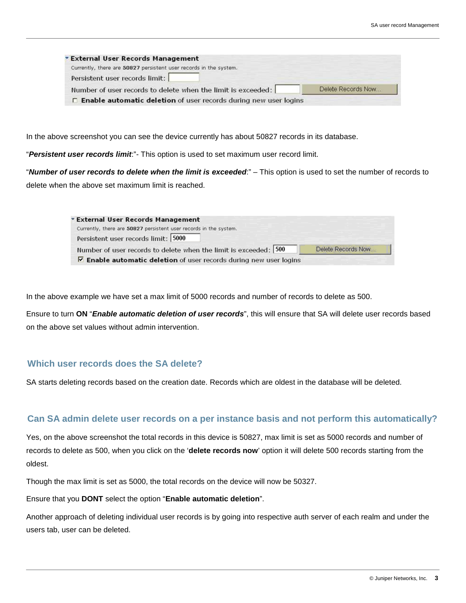| * External User Records Management<br>Currently, there are 50827 persistent user records in the system. |                    |
|---------------------------------------------------------------------------------------------------------|--------------------|
|                                                                                                         |                    |
| Persistent user records limit:                                                                          |                    |
| Number of user records to delete when the limit is exceeded:                                            | Delete Records Now |

In the above screenshot you can see the device currently has about 50827 records in its database.

"**Persistent user records limit**:"- This option is used to set maximum user record limit.

"**Number of user records to delete when the limit is exceeded**:" – This option is used to set the number of records to delete when the above set maximum limit is reached.

| <b>External User Records Management</b>                                   |                    |
|---------------------------------------------------------------------------|--------------------|
| Currently, there are 50827 persistent user records in the system.         |                    |
| Persistent user records limit: 5000                                       |                    |
| Number of user records to delete when the limit is exceeded: 500          | Delete Records Now |
| $\nabla$ Enable automatic deletion of user records during new user logins |                    |

In the above example we have set a max limit of 5000 records and number of records to delete as 500.

Ensure to turn **ON** "**Enable automatic deletion of user records**", this will ensure that SA will delete user records based on the above set values without admin intervention.

#### **Which user records does the SA delete?**

SA starts deleting records based on the creation date. Records which are oldest in the database will be deleted.

#### **Can SA admin delete user records on a per instance basis and not perform this automatically?**

Yes, on the above screenshot the total records in this device is 50827, max limit is set as 5000 records and number of records to delete as 500, when you click on the '**delete records now**' option it will delete 500 records starting from the oldest.

Though the max limit is set as 5000, the total records on the device will now be 50327.

Ensure that you **DONT** select the option "**Enable automatic deletion**".

Another approach of deleting individual user records is by going into respective auth server of each realm and under the users tab, user can be deleted.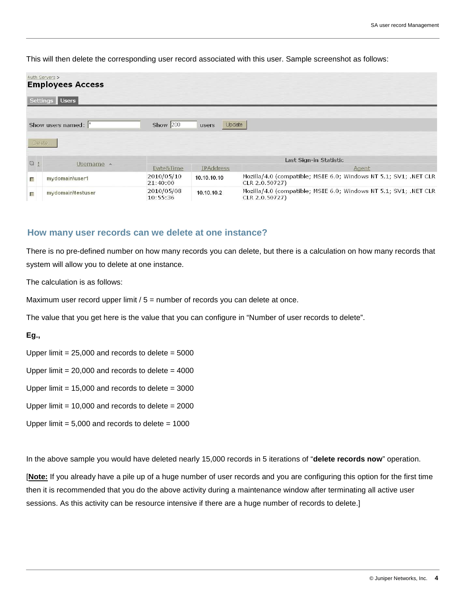This will then delete the corresponding user record associated with this user. Sample screenshot as follows:

|                         | Auth Servers ><br><b>Employees Access</b> |                        |                  |                                                                                    |
|-------------------------|-------------------------------------------|------------------------|------------------|------------------------------------------------------------------------------------|
|                         | Settings Users                            |                        |                  |                                                                                    |
|                         | Show users named:  *                      | Show $200$             | Update<br>users  |                                                                                    |
|                         | Delete.                                   |                        |                  |                                                                                    |
| 回!                      |                                           | Last Sign-in Statistic |                  |                                                                                    |
|                         | Username A                                | Date&Time              | <b>IPAddress</b> | Agent                                                                              |
| $\overline{\mathbb{R}}$ | mydomain\user1                            | 2010/05/10<br>21:40:00 | 10.10.10.10      | Mozilla/4.0 (compatible; MSIE 6.0; Windows NT 5.1; SV1; .NET CLR<br>CLR 2.0.50727) |
| П                       | mydomain\testuser                         | 2010/05/08<br>10:55:36 | 10.10.10.2       | Mozilla/4.0 (compatible; MSIE 6.0; Windows NT 5.1; SV1; .NET CLR<br>CLR 2.0.50727) |

#### **How many user records can we delete at one instance?**

There is no pre-defined number on how many records you can delete, but there is a calculation on how many records that system will allow you to delete at one instance.

The calculation is as follows:

Maximum user record upper limit  $/5$  = number of records you can delete at once.

The value that you get here is the value that you can configure in "Number of user records to delete".

**Eg.,** 

Upper limit =  $25,000$  and records to delete =  $5000$ 

Upper limit =  $20,000$  and records to delete =  $4000$ 

Upper limit =  $15,000$  and records to delete =  $3000$ 

Upper limit =  $10,000$  and records to delete =  $2000$ 

Upper limit  $= 5,000$  and records to delete  $= 1000$ 

In the above sample you would have deleted nearly 15,000 records in 5 iterations of "**delete records now**" operation.

[**Note:** If you already have a pile up of a huge number of user records and you are configuring this option for the first time then it is recommended that you do the above activity during a maintenance window after terminating all active user sessions. As this activity can be resource intensive if there are a huge number of records to delete.]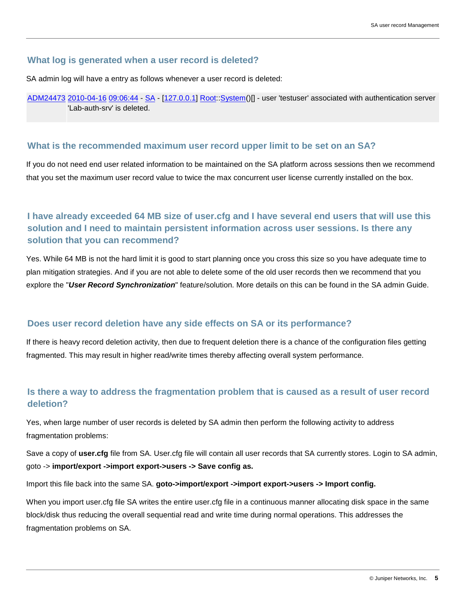#### **What log is generated when a user record is deleted?**

SA admin log will have a entry as follows whenever a user record is deleted:

ADM24473 2010-04-16 09:06:44 - SA - [127.0.0.1] Root::System()[] - user 'testuser' associated with authentication server 'Lab-auth-srv' is deleted.

#### **What is the recommended maximum user record upper limit to be set on an SA?**

If you do not need end user related information to be maintained on the SA platform across sessions then we recommend that you set the maximum user record value to twice the max concurrent user license currently installed on the box.

# **I have already exceeded 64 MB size of user.cfg and I have several end users that will use this solution and I need to maintain persistent information across user sessions. Is there any solution that you can recommend?**

Yes. While 64 MB is not the hard limit it is good to start planning once you cross this size so you have adequate time to plan mitigation strategies. And if you are not able to delete some of the old user records then we recommend that you explore the "**User Record Synchronization**" feature/solution. More details on this can be found in the SA admin Guide.

#### **Does user record deletion have any side effects on SA or its performance?**

If there is heavy record deletion activity, then due to frequent deletion there is a chance of the configuration files getting fragmented. This may result in higher read/write times thereby affecting overall system performance.

## **Is there a way to address the fragmentation problem that is caused as a result of user record deletion?**

Yes, when large number of user records is deleted by SA admin then perform the following activity to address fragmentation problems:

Save a copy of **user.cfg** file from SA. User.cfg file will contain all user records that SA currently stores. Login to SA admin, goto -> **import/export ->import export->users -> Save config as.**

Import this file back into the same SA. **goto->import/export ->import export->users -> Import config.**

When you import user.cfg file SA writes the entire user.cfg file in a continuous manner allocating disk space in the same block/disk thus reducing the overall sequential read and write time during normal operations. This addresses the fragmentation problems on SA.